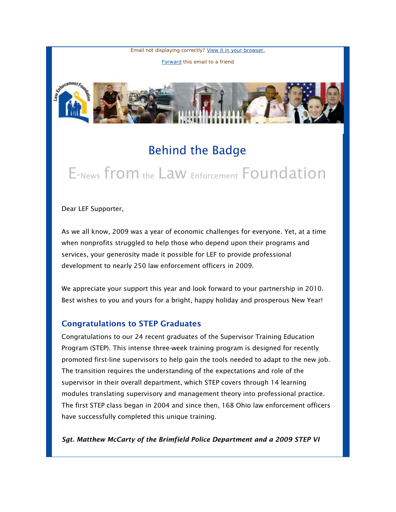Email not displaying correctly? [View it in your browser.](http://us1.campaign-archive.com/?u=55c80ada11d0a6c64310bc76a&id=48c3a07ddf&e=366229f65c)

[Forward](http://us1.forward-to-friend.com/forward?u=55c80ada11d0a6c64310bc76a&id=48c3a07ddf&e=366229f65c) this email to a friend



## Behind the Badge

# E-News from the Law Enforcement Foundation

Dear LEF Supporter,

As we all know, 2009 was a year of economic challenges for everyone. Yet, at a time when nonprofits struggled to help those who depend upon their programs and services, your generosity made it possible for LEF to provide professional development to nearly 250 law enforcement officers in 2009.

We appreciate your support this year and look forward to your partnership in 2010. Best wishes to you and yours for a bright, happy holiday and prosperous New Year!

#### Congratulations to STEP Graduates

Congratulations to our 24 recent graduates of the Supervisor Training Education Program (STEP). This intense three-week training program is designed for recently promoted first-line supervisors to help gain the tools needed to adapt to the new job. The transition requires the understanding of the expectations and role of the supervisor in their overall department, which STEP covers through 14 learning modules translating supervisory and management theory into professional practice. The first STEP class began in 2004 and since then, 168 Ohio law enforcement officers have successfully completed this unique training.

*Sgt. Matthew McCarty of the Brimfield Police Department and a 2009 STEP VI*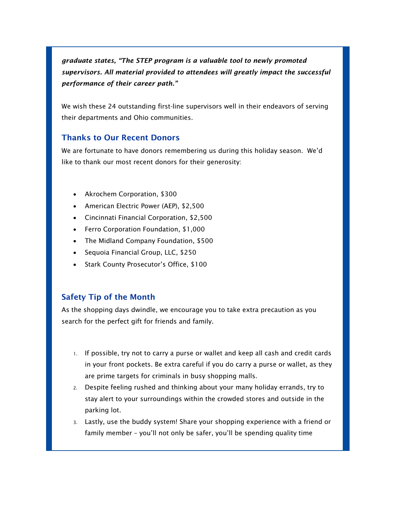*graduate states, "The STEP program is a valuable tool to newly promoted supervisors. All material provided to attendees will greatly impact the successful performance of their career path."*

We wish these 24 outstanding first-line supervisors well in their endeavors of serving their departments and Ohio communities.

### Thanks to Our Recent Donors

We are fortunate to have donors remembering us during this holiday season. We'd like to thank our most recent donors for their generosity:

- Akrochem Corporation, \$300
- American Electric Power (AEP), \$2,500
- Cincinnati Financial Corporation, \$2,500
- Ferro Corporation Foundation, \$1,000
- The Midland Company Foundation, \$500
- Sequoia Financial Group, LLC, \$250
- Stark County Prosecutor's Office, \$100

#### Safety Tip of the Month

As the shopping days dwindle, we encourage you to take extra precaution as you search for the perfect gift for friends and family.

- 1. If possible, try not to carry a purse or wallet and keep all cash and credit cards in your front pockets. Be extra careful if you do carry a purse or wallet, as they are prime targets for criminals in busy shopping malls.
- 2. Despite feeling rushed and thinking about your many holiday errands, try to stay alert to your surroundings within the crowded stores and outside in the parking lot.
- 3. Lastly, use the buddy system! Share your shopping experience with a friend or family member – you'll not only be safer, you'll be spending quality time